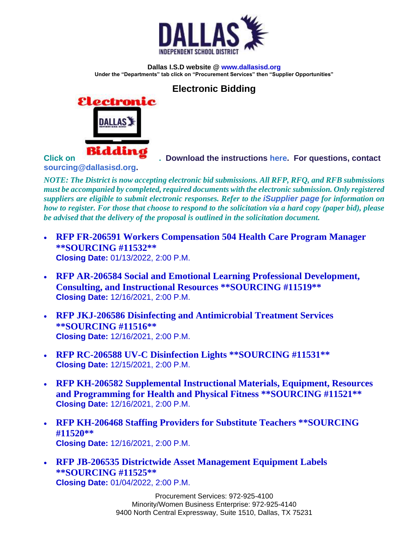

**Dallas I.S.D website @ [www.dallasisd.org](http://www.dallasisd.org/) Under the "Departments" tab click on "Procurement Services" then "Supplier Opportunities"**

## **Electronic Bidding**



**Click o[n](http://disdops.dallasisd.org/OA_HTML/AppsLocalLogin.jsp) . Download the instructions [here.](https://www.dallasisd.org/cms/lib/TX01001475/Centricity/Domain/143/iSupplier%20Portal%20-%20Responding%20to%20a%20Bid_May%202020.pdf) For questions, contact** 

**[sourcing@dallasisd.org.](mailto:sourcing@dallasisd.org)**

*NOTE: The District is now accepting electronic bid submissions. All RFP, RFQ, and RFB submissions must be accompanied by completed, required documents with the electronic submission. Only registered suppliers are eligible to submit electronic responses. Refer to the [iSupplier page](https://www.dallasisd.org/Page/42111) for information on how to register. For those that choose to respond to the solicitation via a hard copy (paper bid), please be advised that the delivery of the proposal is outlined in the solicitation document.*

- **[RFP FR-206591 Workers Compensation 504 Health Care Program Manager](https://www.dallasisd.org/site/default.aspx?PageType=3&DomainID=143&ModuleInstanceID=110052&ViewID=6446EE88-D30C-497E-9316-3F8874B3E108&RenderLoc=0&FlexDataID=215582&PageID=17251)  [\\*\\*SOURCING #11532\\*\\*](https://www.dallasisd.org/site/default.aspx?PageType=3&DomainID=143&ModuleInstanceID=110052&ViewID=6446EE88-D30C-497E-9316-3F8874B3E108&RenderLoc=0&FlexDataID=215582&PageID=17251) Closing Date:** 01/13/2022, 2:00 P.M.
- **[RFP AR-206584 Social and Emotional Learning Professional Development,](https://www.dallasisd.org/site/default.aspx?PageType=3&DomainID=143&ModuleInstanceID=110052&ViewID=6446EE88-D30C-497E-9316-3F8874B3E108&RenderLoc=0&FlexDataID=215166&PageID=17251)  [Consulting, and Instructional Resources \\*\\*SOURCING #11519\\*\\*](https://www.dallasisd.org/site/default.aspx?PageType=3&DomainID=143&ModuleInstanceID=110052&ViewID=6446EE88-D30C-497E-9316-3F8874B3E108&RenderLoc=0&FlexDataID=215166&PageID=17251) Closing Date:** 12/16/2021, 2:00 P.M.
- **[RFP JKJ-206586 Disinfecting and Antimicrobial Treatment Services](https://www.dallasisd.org/site/default.aspx?PageType=3&DomainID=143&ModuleInstanceID=110052&ViewID=6446EE88-D30C-497E-9316-3F8874B3E108&RenderLoc=0&FlexDataID=215163&PageID=17251)  [\\*\\*SOURCING #11516\\*\\*](https://www.dallasisd.org/site/default.aspx?PageType=3&DomainID=143&ModuleInstanceID=110052&ViewID=6446EE88-D30C-497E-9316-3F8874B3E108&RenderLoc=0&FlexDataID=215163&PageID=17251) Closing Date:** 12/16/2021, 2:00 P.M.
- **[RFP RC-206588 UV-C Disinfection Lights \\*\\*SOURCING #11531\\*\\*](https://www.dallasisd.org/site/default.aspx?PageType=3&DomainID=143&ModuleInstanceID=110052&ViewID=6446EE88-D30C-497E-9316-3F8874B3E108&RenderLoc=0&FlexDataID=215577&PageID=17251) Closing Date:** 12/15/2021, 2:00 P.M.
- **[RFP KH-206582 Supplemental Instructional Materials, Equipment, Resources](https://www.dallasisd.org/site/default.aspx?PageType=3&DomainID=143&ModuleInstanceID=110052&ViewID=6446EE88-D30C-497E-9316-3F8874B3E108&RenderLoc=0&FlexDataID=215165&PageID=17251)  [and Programming for Health and Physical Fitness \\*\\*SOURCING #11521\\*\\*](https://www.dallasisd.org/site/default.aspx?PageType=3&DomainID=143&ModuleInstanceID=110052&ViewID=6446EE88-D30C-497E-9316-3F8874B3E108&RenderLoc=0&FlexDataID=215165&PageID=17251) Closing Date:** 12/16/2021, 2:00 P.M.
- **[RFP KH-206468 Staffing Providers for Substitute Teachers \\*\\*SOURCING](https://www.dallasisd.org/site/default.aspx?PageType=3&DomainID=143&ModuleInstanceID=110052&ViewID=6446EE88-D30C-497E-9316-3F8874B3E108&RenderLoc=0&FlexDataID=215164&PageID=17251)  [#11520\\*\\*](https://www.dallasisd.org/site/default.aspx?PageType=3&DomainID=143&ModuleInstanceID=110052&ViewID=6446EE88-D30C-497E-9316-3F8874B3E108&RenderLoc=0&FlexDataID=215164&PageID=17251) Closing Date:** 12/16/2021, 2:00 P.M.
- **[RFP JB-206535 Districtwide Asset Management Equipment Labels](https://www.dallasisd.org/site/default.aspx?PageType=3&DomainID=143&ModuleInstanceID=110052&ViewID=6446EE88-D30C-497E-9316-3F8874B3E108&RenderLoc=0&FlexDataID=215578&PageID=17251)  [\\*\\*SOURCING #11525\\*\\*](https://www.dallasisd.org/site/default.aspx?PageType=3&DomainID=143&ModuleInstanceID=110052&ViewID=6446EE88-D30C-497E-9316-3F8874B3E108&RenderLoc=0&FlexDataID=215578&PageID=17251) Closing Date:** 01/04/2022, 2:00 P.M.

Procurement Services: 972-925-4100 Minority/Women Business Enterprise: 972-925-4140 9400 North Central Expressway, Suite 1510, Dallas, TX 75231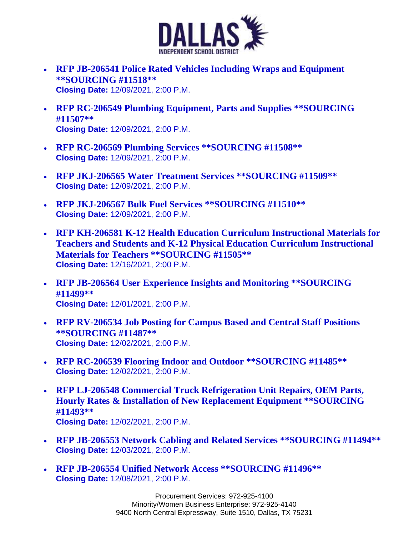

- **[RFP JB-206541 Police Rated Vehicles Including Wraps and Equipment](https://www.dallasisd.org/site/default.aspx?PageType=3&DomainID=143&ModuleInstanceID=110052&ViewID=6446EE88-D30C-497E-9316-3F8874B3E108&RenderLoc=0&FlexDataID=215161&PageID=17251)  [\\*\\*SOURCING #11518\\*\\*](https://www.dallasisd.org/site/default.aspx?PageType=3&DomainID=143&ModuleInstanceID=110052&ViewID=6446EE88-D30C-497E-9316-3F8874B3E108&RenderLoc=0&FlexDataID=215161&PageID=17251) Closing Date:** 12/09/2021, 2:00 P.M.
- **[RFP RC-206549 Plumbing Equipment, Parts and Supplies \\*\\*SOURCING](https://www.dallasisd.org/site/default.aspx?PageType=3&DomainID=143&ModuleInstanceID=110052&ViewID=6446EE88-D30C-497E-9316-3F8874B3E108&RenderLoc=0&FlexDataID=215160&PageID=17251)  [#11507\\*\\*](https://www.dallasisd.org/site/default.aspx?PageType=3&DomainID=143&ModuleInstanceID=110052&ViewID=6446EE88-D30C-497E-9316-3F8874B3E108&RenderLoc=0&FlexDataID=215160&PageID=17251) Closing Date:** 12/09/2021, 2:00 P.M.
- **[RFP RC-206569 Plumbing Services \\*\\*SOURCING #11508\\*\\*](https://www.dallasisd.org/site/default.aspx?PageType=3&DomainID=143&ModuleInstanceID=110052&ViewID=6446EE88-D30C-497E-9316-3F8874B3E108&RenderLoc=0&FlexDataID=215159&PageID=17251) Closing Date:** 12/09/2021, 2:00 P.M.
- **[RFP JKJ-206565 Water Treatment Services \\*\\*SOURCING #11509\\*\\*](https://www.dallasisd.org/site/default.aspx?PageType=3&DomainID=143&ModuleInstanceID=110052&ViewID=6446EE88-D30C-497E-9316-3F8874B3E108&RenderLoc=0&FlexDataID=215158&PageID=17251) Closing Date:** 12/09/2021, 2:00 P.M.
- **[RFP JKJ-206567 Bulk Fuel Services \\*\\*SOURCING #11510\\*\\*](https://www.dallasisd.org/site/default.aspx?PageType=3&DomainID=143&ModuleInstanceID=110052&ViewID=6446EE88-D30C-497E-9316-3F8874B3E108&RenderLoc=0&FlexDataID=215157&PageID=17251) Closing Date:** 12/09/2021, 2:00 P.M.
- **[RFP KH-206581 K-12 Health Education Curriculum Instructional Materials for](https://www.dallasisd.org/site/default.aspx?PageType=3&DomainID=143&ModuleInstanceID=110052&ViewID=6446EE88-D30C-497E-9316-3F8874B3E108&RenderLoc=0&FlexDataID=214499&PageID=17251)  [Teachers and Students and K-12 Physical Education Curriculum Instructional](https://www.dallasisd.org/site/default.aspx?PageType=3&DomainID=143&ModuleInstanceID=110052&ViewID=6446EE88-D30C-497E-9316-3F8874B3E108&RenderLoc=0&FlexDataID=214499&PageID=17251)  [Materials for Teachers \\*\\*SOURCING #11505\\*\\*](https://www.dallasisd.org/site/default.aspx?PageType=3&DomainID=143&ModuleInstanceID=110052&ViewID=6446EE88-D30C-497E-9316-3F8874B3E108&RenderLoc=0&FlexDataID=214499&PageID=17251) Closing Date:** 12/16/2021, 2:00 P.M.
- **[RFP JB-206564 User Experience Insights and Monitoring \\*\\*SOURCING](https://www.dallasisd.org/site/default.aspx?PageType=3&DomainID=143&ModuleInstanceID=110052&ViewID=6446EE88-D30C-497E-9316-3F8874B3E108&RenderLoc=0&FlexDataID=214064&PageID=17251)  [#11499\\*\\*](https://www.dallasisd.org/site/default.aspx?PageType=3&DomainID=143&ModuleInstanceID=110052&ViewID=6446EE88-D30C-497E-9316-3F8874B3E108&RenderLoc=0&FlexDataID=214064&PageID=17251) Closing Date:** 12/01/2021, 2:00 P.M.
- **[RFP RV-206534 Job Posting for Campus Based and Central Staff Positions](https://www.dallasisd.org/site/default.aspx?PageType=3&DomainID=143&ModuleInstanceID=110052&ViewID=6446EE88-D30C-497E-9316-3F8874B3E108&RenderLoc=0&FlexDataID=213067&PageID=17251)  [\\*\\*SOURCING #11487\\*\\*](https://www.dallasisd.org/site/default.aspx?PageType=3&DomainID=143&ModuleInstanceID=110052&ViewID=6446EE88-D30C-497E-9316-3F8874B3E108&RenderLoc=0&FlexDataID=213067&PageID=17251) Closing Date:** 12/02/2021, 2:00 P.M.
- **[RFP RC-206539 Flooring Indoor and Outdoor \\*\\*SOURCING #11485\\*\\*](https://www.dallasisd.org/site/default.aspx?PageType=3&DomainID=143&ModuleInstanceID=110052&ViewID=6446EE88-D30C-497E-9316-3F8874B3E108&RenderLoc=0&FlexDataID=213570&PageID=17251) Closing Date:** 12/02/2021, 2:00 P.M.
- **[RFP LJ-206548 Commercial Truck Refrigeration Unit Repairs, OEM Parts,](https://www.dallasisd.org/site/default.aspx?PageType=3&DomainID=143&ModuleInstanceID=110052&ViewID=6446EE88-D30C-497E-9316-3F8874B3E108&RenderLoc=0&FlexDataID=213571&PageID=17251)  [Hourly Rates & Installation of New Replacement Equipment \\*\\*SOURCING](https://www.dallasisd.org/site/default.aspx?PageType=3&DomainID=143&ModuleInstanceID=110052&ViewID=6446EE88-D30C-497E-9316-3F8874B3E108&RenderLoc=0&FlexDataID=213571&PageID=17251)  [#11493\\*\\*](https://www.dallasisd.org/site/default.aspx?PageType=3&DomainID=143&ModuleInstanceID=110052&ViewID=6446EE88-D30C-497E-9316-3F8874B3E108&RenderLoc=0&FlexDataID=213571&PageID=17251) Closing Date:** 12/02/2021, 2:00 P.M.
- **[RFP JB-206553 Network Cabling and Related Services \\*\\*SOURCING #11494\\*\\*](https://www.dallasisd.org/site/default.aspx?PageType=3&DomainID=143&ModuleInstanceID=110052&ViewID=6446EE88-D30C-497E-9316-3F8874B3E108&RenderLoc=0&FlexDataID=214059&PageID=17251) Closing Date:** 12/03/2021, 2:00 P.M.
- **[RFP JB-206554 Unified Network Access \\*\\*SOURCING #11496\\*\\*](https://www.dallasisd.org/site/default.aspx?PageType=3&DomainID=143&ModuleInstanceID=110052&ViewID=6446EE88-D30C-497E-9316-3F8874B3E108&RenderLoc=0&FlexDataID=214061&PageID=17251) Closing Date:** 12/08/2021, 2:00 P.M.